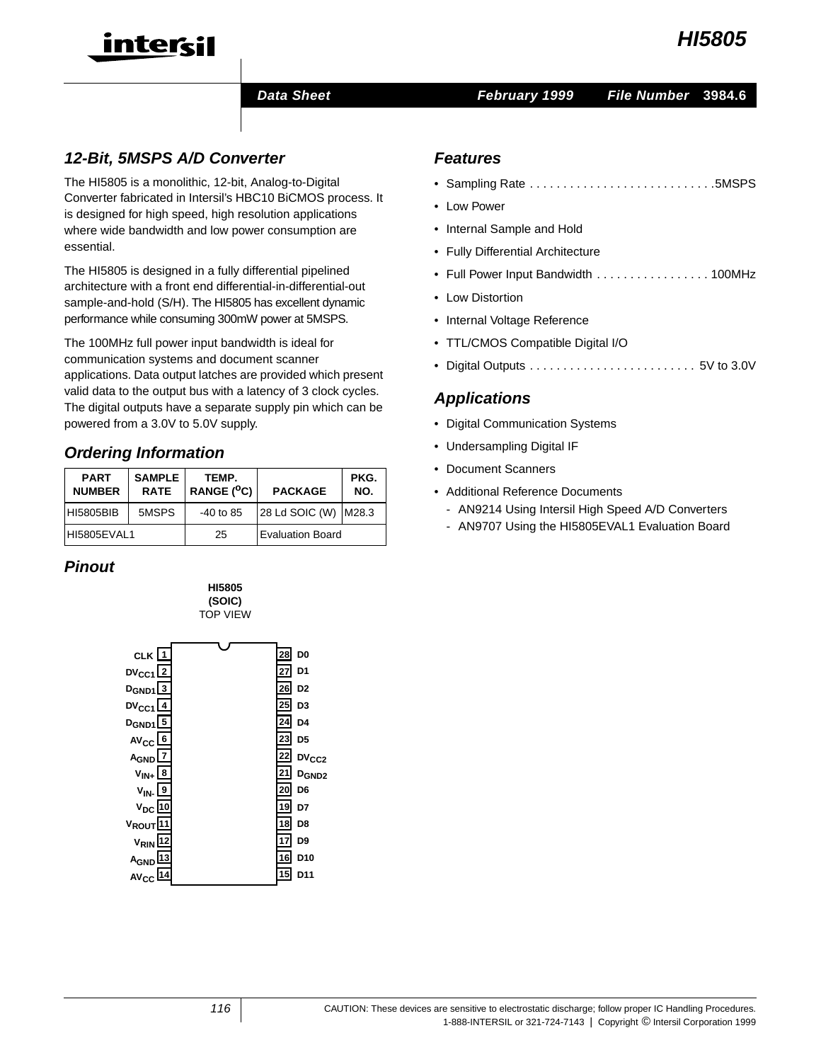

# intercil

#### **Data Sheet February 1999 File Number 3984.6**

## **12-Bit, 5MSPS A/D Converter**

The HI5805 is a monolithic, 12-bit, Analog-to-Digital Converter fabricated in Intersil's HBC10 BiCMOS process. It is designed for high speed, high resolution applications where wide bandwidth and low power consumption are essential.

The HI5805 is designed in a fully differential pipelined architecture with a front end differential-in-differential-out sample-and-hold (S/H). The HI5805 has excellent dynamic performance while consuming 300mW power at 5MSPS.

The 100MHz full power input bandwidth is ideal for communication systems and document scanner applications. Data output latches are provided which present valid data to the output bus with a latency of 3 clock cycles. The digital outputs have a separate supply pin which can be powered from a 3.0V to 5.0V supply.

# **Ordering Information**

| <b>PART</b><br><b>NUMBER</b> | <b>SAMPLE</b><br><b>RATE</b> | TEMP.<br>RANGE $(^{0}C)$ | <b>PACKAGE</b>          | PKG.<br>NO. |
|------------------------------|------------------------------|--------------------------|-------------------------|-------------|
| <b>HI5805BIB</b>             | 5MSPS                        | $-40$ to 85              | 28 Ld SOIC (W)   M28.3  |             |
| HI5805EVAL1                  |                              | 25                       | <b>Evaluation Board</b> |             |

**HI5805**

# **Pinout**



#### **Features**

- Sampling Rate . . . . . . . . . . . . . . . . . . . . . . . . . . . .5MSPS
- Low Power
- Internal Sample and Hold
- Fully Differential Architecture
- Full Power Input Bandwidth . . . . . . . . . . . . . . . . . 100MHz
- Low Distortion
- Internal Voltage Reference
- TTL/CMOS Compatible Digital I/O
- Digital Outputs . . . . . . . . . . . . . . . . . . . . . . . . . 5V to 3.0V

### **Applications**

- Digital Communication Systems
- Undersampling Digital IF
- Document Scanners
- Additional Reference Documents
	- AN9214 Using Intersil High Speed A/D Converters
	- AN9707 Using the HI5805EVAL1 Evaluation Board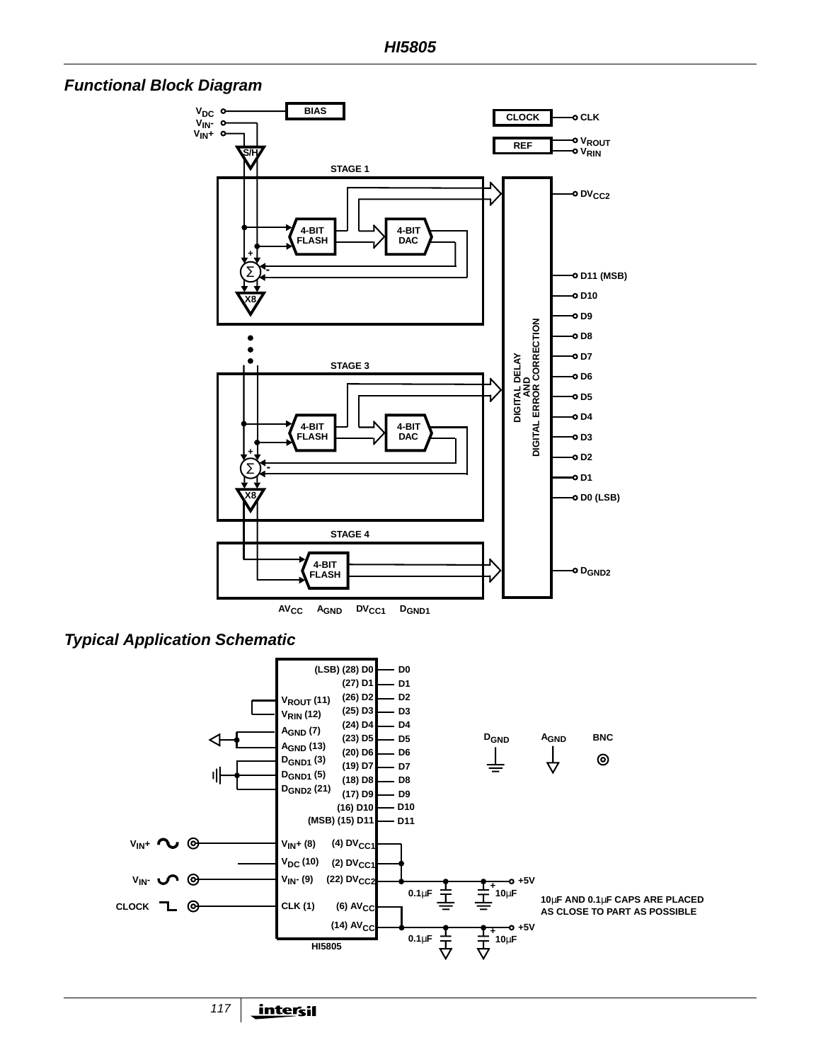





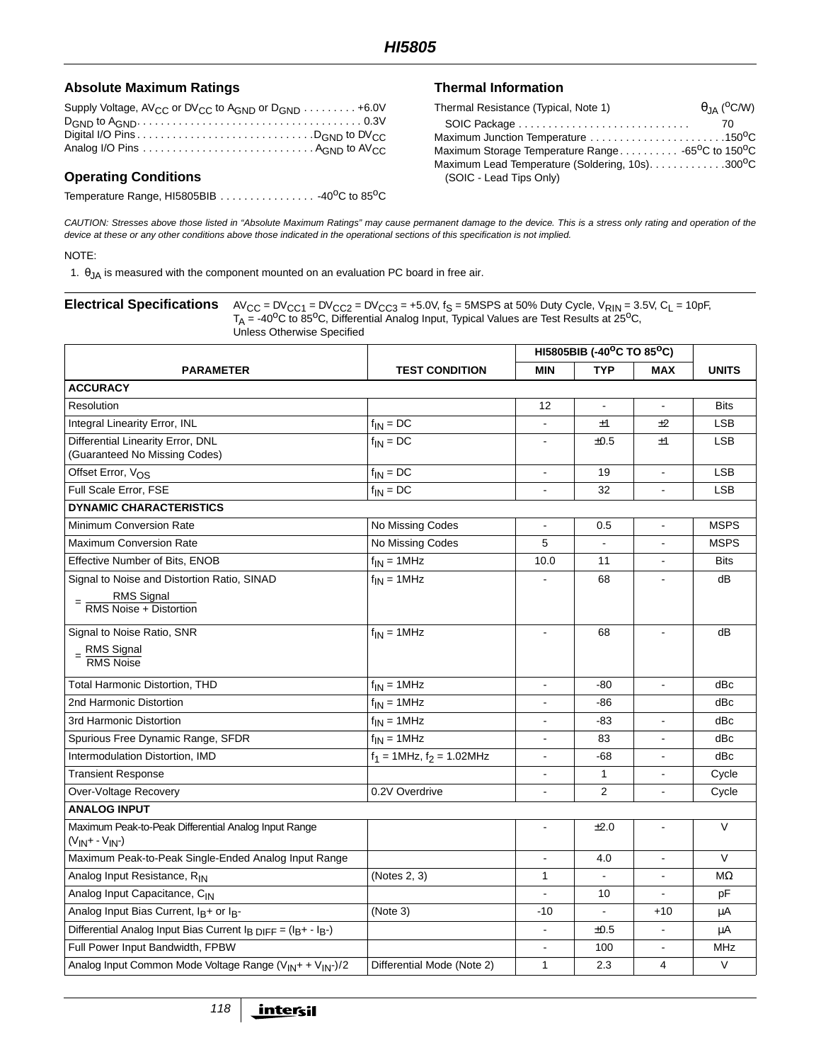#### Absolute Maximum Ratings **Thermal Information**

| Supply Voltage, $AV_{CC}$ or DV <sub>CC</sub> to A <sub>GND</sub> or D <sub>GND</sub> $\ldots \ldots \ldots$ +6.0V      |  |
|-------------------------------------------------------------------------------------------------------------------------|--|
|                                                                                                                         |  |
|                                                                                                                         |  |
| Analog I/O Pins $\ldots \ldots \ldots \ldots \ldots \ldots \ldots \ldots \ldots$ . A <sub>GND</sub> to AV <sub>CC</sub> |  |

#### **Operating Conditions**

Temperature Range, HI5805BIB . . . . . . . . . . . . . . . . 40°C to 85°C

| Thermal Resistance (Typical, Note 1)                                       | $\theta$ <sub>JA</sub> ( <sup>o</sup> C/W) |
|----------------------------------------------------------------------------|--------------------------------------------|
|                                                                            | -70                                        |
| Maximum Junction Temperature 150 <sup>0</sup> C                            |                                            |
| Maximum Storage Temperature Range -65 <sup>o</sup> C to 150 <sup>o</sup> C |                                            |
| Maximum Lead Temperature (Soldering, 10s)300°C                             |                                            |
| (SOIC - Lead Tips Only)                                                    |                                            |
|                                                                            |                                            |

CAUTION: Stresses above those listed in "Absolute Maximum Ratings" may cause permanent damage to the device. This is a stress only rating and operation of the device at these or any other conditions above those indicated in the operational sections of this specification is not implied.

#### NOTE:

1.  $\theta_{JA}$  is measured with the component mounted on an evaluation PC board in free air.

#### **Electrical Specifications**  $AV_{CC} = DV_{CC1} = DV_{CC2} = DV_{CC3} = +5.0V$ ,  $f_S = 5MSPS$  at 50% Duty Cycle,  $V_{RIN} = 3.5V$ ,  $C_L = 10pF$ ,  $T_A = -40^{\circ}$ C to 85<sup>o</sup>C, Differential Analog Input, Typical Values are Test Results at 25<sup>o</sup>C, Unless Otherwise Specified

|                                                                                                    | HI5805BIB (-40°C TO 85°C)       |                |                          |                          |              |
|----------------------------------------------------------------------------------------------------|---------------------------------|----------------|--------------------------|--------------------------|--------------|
| <b>PARAMETER</b>                                                                                   | <b>TEST CONDITION</b>           | <b>MIN</b>     | <b>TYP</b>               | <b>MAX</b>               | <b>UNITS</b> |
| <b>ACCURACY</b>                                                                                    |                                 |                |                          |                          |              |
| Resolution                                                                                         |                                 | 12             | $\blacksquare$           | $\blacksquare$           | <b>Bits</b>  |
| Integral Linearity Error, INL                                                                      | $f_{IN} = DC$                   |                | ±1                       | ±2                       | <b>LSB</b>   |
| Differential Linearity Error, DNL<br>(Guaranteed No Missing Codes)                                 | $f_{IN} = DC$                   |                | ±0.5                     | ±1                       | <b>LSB</b>   |
| Offset Error, V <sub>OS</sub>                                                                      | $f_{IN} = DC$                   | $\blacksquare$ | 19                       | $\blacksquare$           | <b>LSB</b>   |
| Full Scale Error, FSE                                                                              | $f_{IN} = DC$                   | $\sim$         | 32                       | $\sim$                   | <b>LSB</b>   |
| <b>DYNAMIC CHARACTERISTICS</b>                                                                     |                                 |                |                          |                          |              |
| Minimum Conversion Rate                                                                            | No Missing Codes                |                | 0.5                      | $\blacksquare$           | <b>MSPS</b>  |
| <b>Maximum Conversion Rate</b>                                                                     | No Missing Codes                | 5              |                          |                          | <b>MSPS</b>  |
| Effective Number of Bits, ENOB                                                                     | $f_{IN} = 1 MHz$                | 10.0           | 11                       | $\blacksquare$           | <b>Bits</b>  |
| Signal to Noise and Distortion Ratio, SINAD<br>RMS Signal<br>RMS Noise + Distortion                | $f_{IN} = 1 MHz$                |                | 68                       |                          | dB           |
| Signal to Noise Ratio, SNR<br>$=$ RMS Signal<br>RMS Noise                                          | $f_{IN} = 1 MHz$                | $\overline{a}$ | 68                       | $\blacksquare$           | dB           |
| <b>Total Harmonic Distortion, THD</b>                                                              | $f_{IN} = 1 MHz$                |                | -80                      | $\overline{\phantom{a}}$ | dBc          |
| 2nd Harmonic Distortion                                                                            | $f_{IN} = 1 MHz$                |                | -86                      |                          | dBc          |
| 3rd Harmonic Distortion                                                                            | $f_{IN} = 1 MHz$                |                | $-83$                    |                          | dBc          |
| Spurious Free Dynamic Range, SFDR                                                                  | $f_{IN} = 1 MHz$                |                | 83                       |                          | dBc          |
| Intermodulation Distortion, IMD                                                                    | $f_1 = 1$ MHz, $f_2 = 1.02$ MHz | $\blacksquare$ | -68                      | $\sim$                   | dBc          |
| <b>Transient Response</b>                                                                          |                                 |                | $\mathbf{1}$             | $\mathbf{r}$             | Cycle        |
| Over-Voltage Recovery                                                                              | 0.2V Overdrive                  |                | 2                        | $\sim$                   | Cycle        |
| <b>ANALOG INPUT</b>                                                                                |                                 |                |                          |                          |              |
| Maximum Peak-to-Peak Differential Analog Input Range<br>$(V_{IN} + -V_{IN})$                       |                                 | $\blacksquare$ | ±2.0                     | $\blacksquare$           | $\mathsf V$  |
| Maximum Peak-to-Peak Single-Ended Analog Input Range                                               |                                 |                | 4.0                      | $\blacksquare$           | V            |
| Analog Input Resistance, RIN                                                                       | (Notes 2, 3)                    | 1              | $\blacksquare$           | $\blacksquare$           | MΩ           |
| Analog Input Capacitance, CIN                                                                      |                                 |                | 10                       | $\blacksquare$           | pF           |
| Analog Input Bias Current, I <sub>B</sub> + or I <sub>B</sub> -                                    | (Note 3)                        | $-10$          | $\overline{\phantom{a}}$ | $+10$                    | μA           |
| Differential Analog Input Bias Current I <sub>B DIFF</sub> = (I <sub>B</sub> + - I <sub>B</sub> -) |                                 |                | ±0.5                     | $\overline{\phantom{a}}$ | μA           |
| Full Power Input Bandwidth, FPBW                                                                   |                                 |                | 100                      |                          | <b>MHz</b>   |
| Analog Input Common Mode Voltage Range (V <sub>IN</sub> + + V <sub>IN</sub> -)/2                   | Differential Mode (Note 2)      | 1              | 2.3                      | 4                        | V            |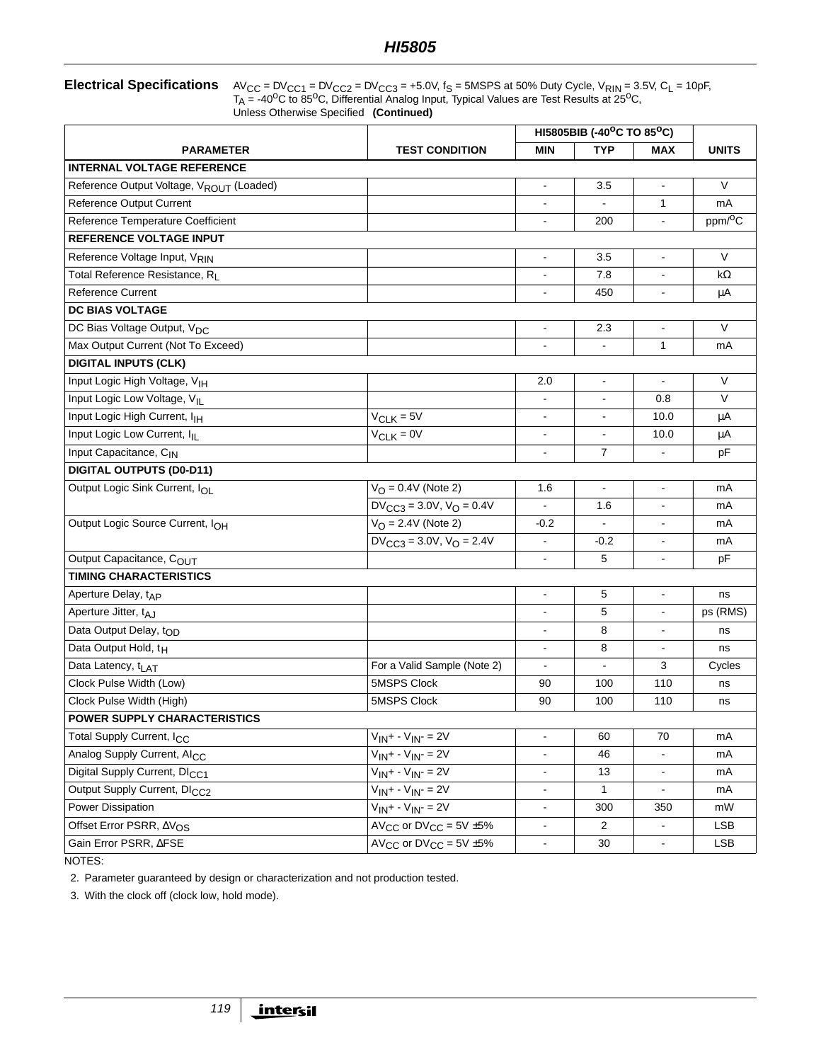**Electrical Specifications**  $AV_{CC} = DV_{CC1} = DV_{CC2} = DV_{CC3} = +5.0V$ ,  $f_S = 5MSPS$  at 50% Duty Cycle,  $V_{RIN} = 3.5V$ ,  $C_L = 10pF$ ,  $T_A$  = -40<sup>o</sup>C to 85<sup>o</sup>C, Differential Analog Input, Typical Values are Test Results at 25<sup>o</sup>C, Unless Otherwise Specified **(Continued)**

|                                                      |                                                | HI5805BIB (-40°C TO 85°C) |                |                |                     |  |
|------------------------------------------------------|------------------------------------------------|---------------------------|----------------|----------------|---------------------|--|
| <b>PARAMETER</b>                                     | <b>TEST CONDITION</b>                          | <b>MIN</b>                | <b>TYP</b>     | <b>MAX</b>     | <b>UNITS</b>        |  |
| <b>INTERNAL VOLTAGE REFERENCE</b>                    |                                                |                           |                |                |                     |  |
| Reference Output Voltage, V <sub>ROUT</sub> (Loaded) |                                                | $\blacksquare$            | 3.5            | $\blacksquare$ | V                   |  |
| Reference Output Current                             |                                                |                           |                | 1              | mA                  |  |
| Reference Temperature Coefficient                    |                                                | ٠                         | 200            | $\blacksquare$ | ppm/ <sup>o</sup> C |  |
| <b>REFERENCE VOLTAGE INPUT</b>                       |                                                |                           |                |                |                     |  |
| Reference Voltage Input, VRIN                        |                                                | $\blacksquare$            | 3.5            | $\blacksquare$ | $\vee$              |  |
| Total Reference Resistance, R <sub>I</sub>           |                                                |                           | 7.8            |                | kΩ                  |  |
| <b>Reference Current</b>                             |                                                |                           | 450            |                | μA                  |  |
| DC BIAS VOLTAGE                                      |                                                |                           |                |                |                     |  |
| DC Bias Voltage Output, V <sub>DC</sub>              |                                                | ٠                         | 2.3            | $\blacksquare$ | V                   |  |
| Max Output Current (Not To Exceed)                   |                                                |                           | $\blacksquare$ | $\mathbf{1}$   | mA                  |  |
| <b>DIGITAL INPUTS (CLK)</b>                          |                                                |                           |                |                |                     |  |
| Input Logic High Voltage, VIH                        |                                                | 2.0                       | $\blacksquare$ |                | $\vee$              |  |
| Input Logic Low Voltage, VIL                         |                                                | ٠                         | $\blacksquare$ | 0.8            | V                   |  |
| Input Logic High Current, I <sub>IH</sub>            | $V_{CLK} = 5V$                                 | ۰                         | $\blacksquare$ | 10.0           | μA                  |  |
| Input Logic Low Current, ILL                         | $V_{CLK} = 0V$                                 | ۰                         | $\blacksquare$ | 10.0           | μA                  |  |
| Input Capacitance, CIN                               |                                                |                           | $\overline{7}$ |                | pF                  |  |
| <b>DIGITAL OUTPUTS (D0-D11)</b>                      |                                                |                           |                |                |                     |  |
| Output Logic Sink Current, IOL                       | $V_O = 0.4V$ (Note 2)                          | 1.6                       | $\blacksquare$ | $\blacksquare$ | mA                  |  |
|                                                      | $DV_{CC3} = 3.0V, V_Q = 0.4V$                  | ä,                        | 1.6            | $\blacksquare$ | mA                  |  |
| Output Logic Source Current, IOH                     | $V_{\Omega} = 2.4V$ (Note 2)                   | $-0.2$                    | $\blacksquare$ | $\blacksquare$ | mA                  |  |
|                                                      | $DV_{CC3} = 3.0V$ , $V_{O} = 2.4V$             |                           | $-0.2$         |                | mA                  |  |
| Output Capacitance, COUT                             |                                                |                           | 5              | $\blacksquare$ | pF                  |  |
| <b>TIMING CHARACTERISTICS</b>                        |                                                |                           |                |                |                     |  |
| Aperture Delay, t <sub>AP</sub>                      |                                                | ä,                        | 5              | $\blacksquare$ | ns                  |  |
| Aperture Jitter, tAJ                                 |                                                |                           | 5              |                | ps (RMS)            |  |
| Data Output Delay, top                               |                                                |                           | 8              |                | ns                  |  |
| Data Output Hold, t <sub>H</sub>                     |                                                |                           | 8              | $\blacksquare$ | ns                  |  |
| Data Latency, t <sub>LAT</sub>                       | For a Valid Sample (Note 2)                    |                           |                | 3              | Cycles              |  |
| Clock Pulse Width (Low)                              | 5MSPS Clock                                    | 90                        | 100            | 110            | ns                  |  |
| Clock Pulse Width (High)                             | 5MSPS Clock                                    | 90                        | 100            | 110            | ns                  |  |
| <b>POWER SUPPLY CHARACTERISTICS</b>                  |                                                |                           |                |                |                     |  |
| Total Supply Current, I <sub>CC</sub>                | $V_{IN} + -V_{IN} = 2V$                        | $\blacksquare$            | 60             | 70             | mA                  |  |
| Analog Supply Current, AI <sub>CC</sub>              | $V_{IN} + - V_{IN} = 2V$                       | $\frac{1}{2}$             | 46             | $\blacksquare$ | mA                  |  |
| Digital Supply Current, DI <sub>CC1</sub>            | $V_{IN} + - V_{IN} = 2V$                       | $\blacksquare$            | 13             | $\blacksquare$ | mA                  |  |
| Output Supply Current, DI <sub>CC2</sub>             | $\overline{V_{IN}}$ + - $V_{IN}$ - = 2V        | $\blacksquare$            | $\mathbf{1}$   | $\blacksquare$ | mA                  |  |
| Power Dissipation                                    | $V_{IN} + - V_{IN} = 2V$                       | $\frac{1}{2}$             | 300            | 350            | mW                  |  |
| Offset Error PSRR, AVOS                              | AV <sub>CC</sub> or $DV_{CC} = 5V \pm 5\%$     | $\blacksquare$            | $\overline{c}$ | $\blacksquare$ | <b>LSB</b>          |  |
| Gain Error PSRR, AFSE                                | $\overline{AV_{CC}}$ or $DV_{CC} = 5V \pm 5\%$ | $\blacksquare$            | 30             | $\blacksquare$ | <b>LSB</b>          |  |

NOTES:

2. Parameter guaranteed by design or characterization and not production tested.

3. With the clock off (clock low, hold mode).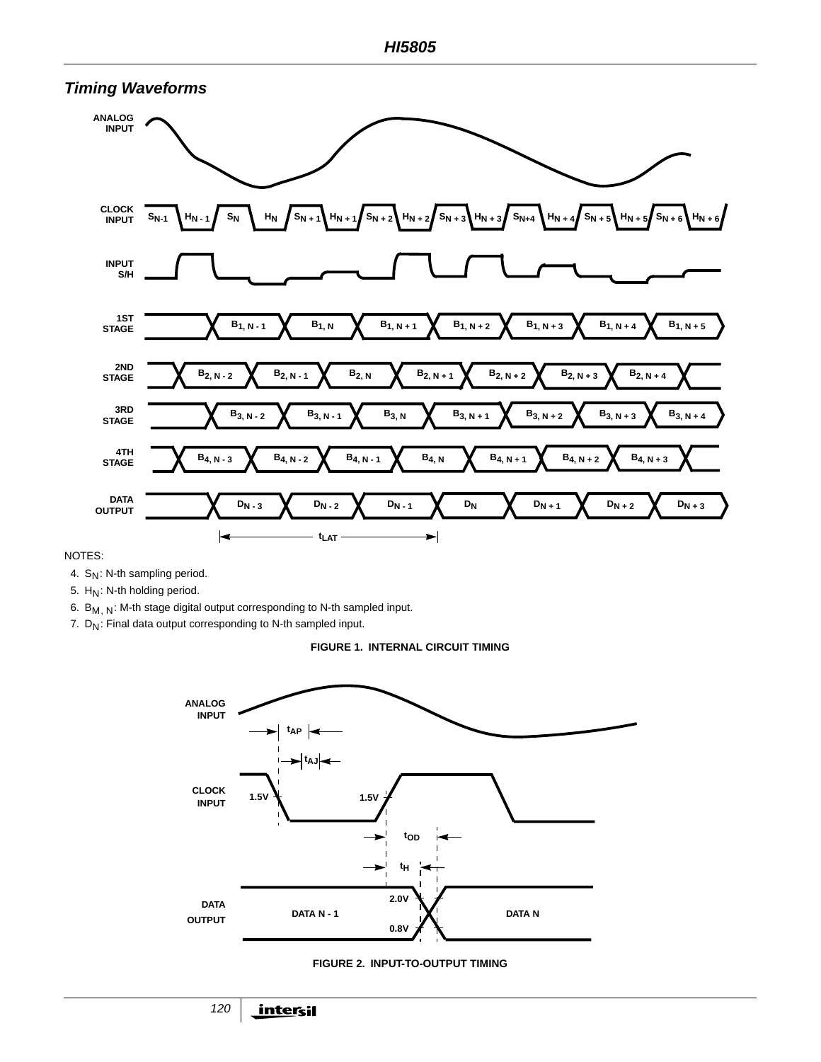

NOTES:

4. S<sub>N</sub>: N-th sampling period.

5.  $H_N$ : N-th holding period.

6.  $B_{M,N}$ : M-th stage digital output corresponding to N-th sampled input.

7.  $D_N$ : Final data output corresponding to N-th sampled input.

**FIGURE 1. INTERNAL CIRCUIT TIMING**



**FIGURE 2. INPUT-TO-OUTPUT TIMING**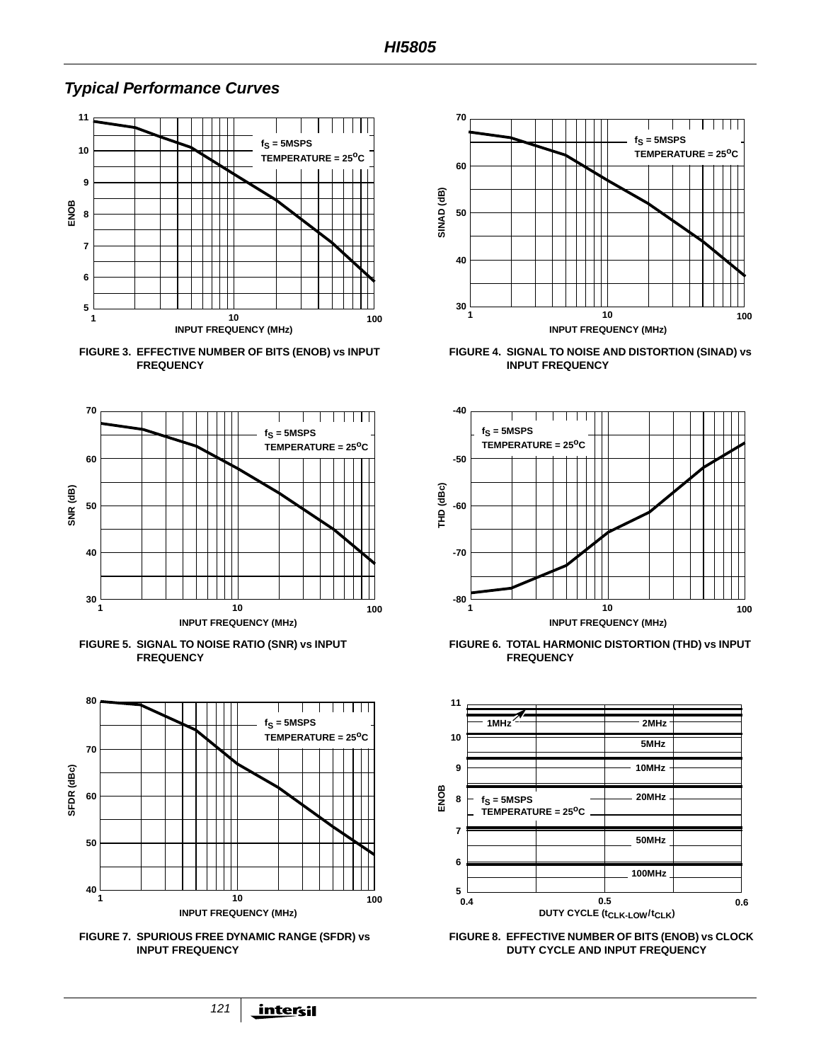

### **Typical Performance Curves**





**FIGURE 5. SIGNAL TO NOISE RATIO (SNR) vs INPUT FREQUENCY**







**FIGURE 4. SIGNAL TO NOISE AND DISTORTION (SINAD) vs INPUT FREQUENCY**



**FIGURE 6. TOTAL HARMONIC DISTORTION (THD) vs INPUT FREQUENCY**



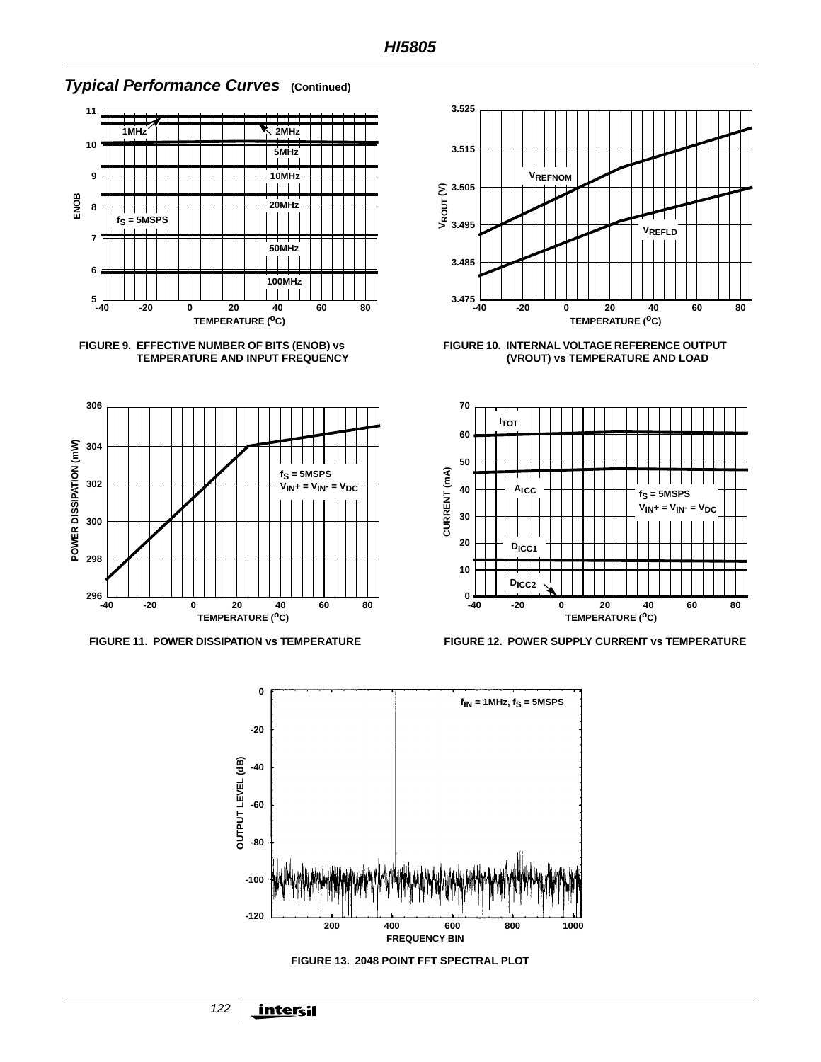

#### **Typical Performance Curves (Continued)**







**FIGURE 10. INTERNAL VOLTAGE REFERENCE OUTPUT (VROUT) vs TEMPERATURE AND LOAD**



**FIGURE 11. POWER DISSIPATION vs TEMPERATURE FIGURE 12. POWER SUPPLY CURRENT vs TEMPERATURE**





122 <u>intersil</u>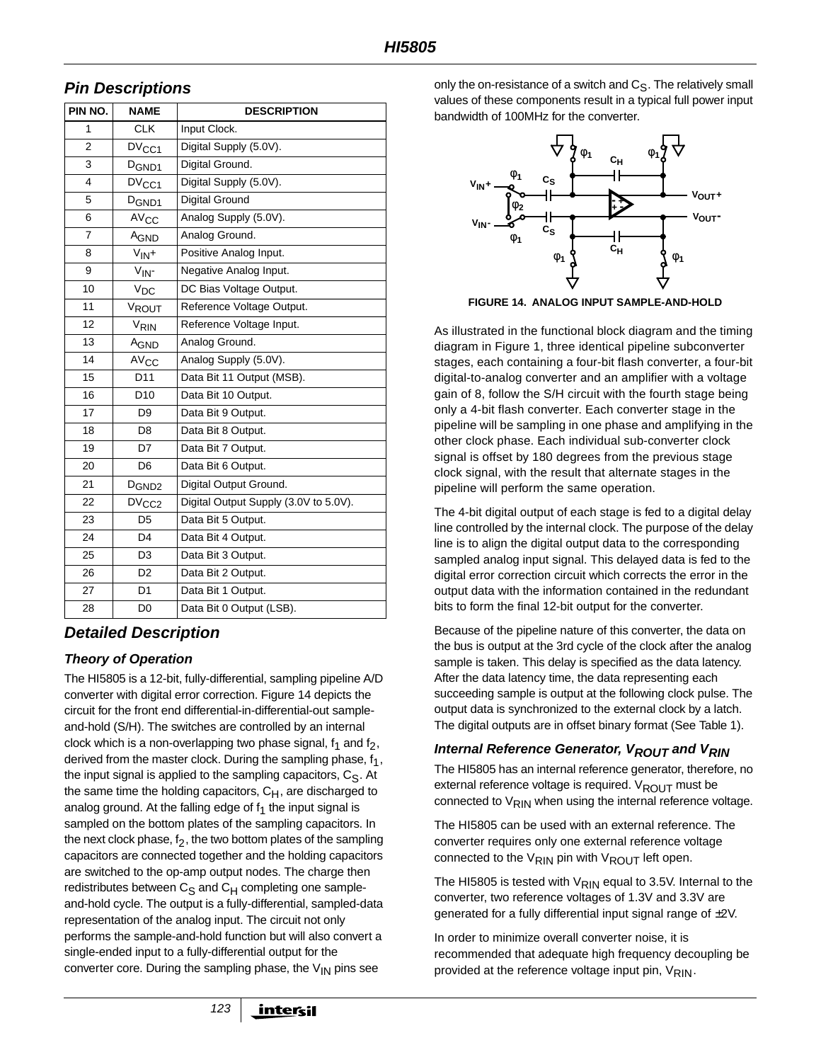### **Pin Descriptions**

| PIN NO.        | <b>NAME</b>            | <b>DESCRIPTION</b>                    |  |  |  |  |  |  |
|----------------|------------------------|---------------------------------------|--|--|--|--|--|--|
| 1              | <b>CLK</b>             | Input Clock.                          |  |  |  |  |  |  |
| $\overline{2}$ | DV <sub>CC1</sub>      | Digital Supply (5.0V).                |  |  |  |  |  |  |
| 3              | D <sub>GND1</sub>      | Digital Ground.                       |  |  |  |  |  |  |
| 4              | DV <sub>CC1</sub>      | Digital Supply (5.0V).                |  |  |  |  |  |  |
| 5              | D <sub>GND1</sub>      | <b>Digital Ground</b>                 |  |  |  |  |  |  |
| 6              | <b>AV<sub>CC</sub></b> | Analog Supply (5.0V).                 |  |  |  |  |  |  |
| $\overline{7}$ | AGND                   | Analog Ground.                        |  |  |  |  |  |  |
| 8              | $V_{IN}+$              | Positive Analog Input.                |  |  |  |  |  |  |
| 9              | $V_{IN}$ -             | Negative Analog Input.                |  |  |  |  |  |  |
| 10             | $V_{DC}$               | DC Bias Voltage Output.               |  |  |  |  |  |  |
| 11             | VROUT                  | Reference Voltage Output.             |  |  |  |  |  |  |
| 12             | V <sub>RIN</sub>       | Reference Voltage Input.              |  |  |  |  |  |  |
| 13             | A <sub>GND</sub>       | Analog Ground.                        |  |  |  |  |  |  |
| 14             | AV <sub>CC</sub>       | Analog Supply (5.0V).                 |  |  |  |  |  |  |
| 15             | D <sub>11</sub>        | Data Bit 11 Output (MSB).             |  |  |  |  |  |  |
| 16             | D <sub>10</sub>        | Data Bit 10 Output.                   |  |  |  |  |  |  |
| 17             | D <sub>9</sub>         | Data Bit 9 Output.                    |  |  |  |  |  |  |
| 18             | D <sub>8</sub>         | Data Bit 8 Output.                    |  |  |  |  |  |  |
| 19             | D7                     | Data Bit 7 Output.                    |  |  |  |  |  |  |
| 20             | D <sub>6</sub>         | Data Bit 6 Output.                    |  |  |  |  |  |  |
| 21             | D <sub>GND2</sub>      | Digital Output Ground.                |  |  |  |  |  |  |
| 22             | DV <sub>CC2</sub>      | Digital Output Supply (3.0V to 5.0V). |  |  |  |  |  |  |
| 23             | D <sub>5</sub>         | Data Bit 5 Output.                    |  |  |  |  |  |  |
| 24             | D <sub>4</sub>         | Data Bit 4 Output.                    |  |  |  |  |  |  |
| 25             | D <sub>3</sub>         | Data Bit 3 Output.                    |  |  |  |  |  |  |
| 26             | D <sub>2</sub>         | Data Bit 2 Output.                    |  |  |  |  |  |  |
| 27             | D <sub>1</sub>         | Data Bit 1 Output.                    |  |  |  |  |  |  |
| 28             | D0                     | Data Bit 0 Output (LSB).              |  |  |  |  |  |  |

### **Detailed Description**

#### **Theory of Operation**

The HI5805 is a 12-bit, fully-differential, sampling pipeline A/D converter with digital error correction. Figure 14 depicts the circuit for the front end differential-in-differential-out sampleand-hold (S/H). The switches are controlled by an internal clock which is a non-overlapping two phase signal,  $f_1$  and  $f_2$ , derived from the master clock. During the sampling phase,  $f_1$ , the input signal is applied to the sampling capacitors,  $C_S$ . At the same time the holding capacitors,  $C_H$ , are discharged to analog ground. At the falling edge of  $f_1$  the input signal is sampled on the bottom plates of the sampling capacitors. In the next clock phase,  $f_2$ , the two bottom plates of the sampling capacitors are connected together and the holding capacitors are switched to the op-amp output nodes. The charge then redistributes between  $C_S$  and  $C_H$  completing one sampleand-hold cycle. The output is a fully-differential, sampled-data representation of the analog input. The circuit not only performs the sample-and-hold function but will also convert a single-ended input to a fully-differential output for the converter core. During the sampling phase, the  $V_{IN}$  pins see

only the on-resistance of a switch and  $C_S$ . The relatively small values of these components result in a typical full power input bandwidth of 100MHz for the converter.



**FIGURE 14. ANALOG INPUT SAMPLE-AND-HOLD**

As illustrated in the functional block diagram and the timing diagram in Figure 1, three identical pipeline subconverter stages, each containing a four-bit flash converter, a four-bit digital-to-analog converter and an amplifier with a voltage gain of 8, follow the S/H circuit with the fourth stage being only a 4-bit flash converter. Each converter stage in the pipeline will be sampling in one phase and amplifying in the other clock phase. Each individual sub-converter clock signal is offset by 180 degrees from the previous stage clock signal, with the result that alternate stages in the pipeline will perform the same operation.

The 4-bit digital output of each stage is fed to a digital delay line controlled by the internal clock. The purpose of the delay line is to align the digital output data to the corresponding sampled analog input signal. This delayed data is fed to the digital error correction circuit which corrects the error in the output data with the information contained in the redundant bits to form the final 12-bit output for the converter.

Because of the pipeline nature of this converter, the data on the bus is output at the 3rd cycle of the clock after the analog sample is taken. This delay is specified as the data latency. After the data latency time, the data representing each succeeding sample is output at the following clock pulse. The output data is synchronized to the external clock by a latch. The digital outputs are in offset binary format (See Table 1).

#### **Internal Reference Generator, V<sub>ROUT</sub> and V<sub>RIN</sub>**

The HI5805 has an internal reference generator, therefore, no external reference voltage is required. V<sub>ROUT</sub> must be connected to  $V_{\text{RIN}}$  when using the internal reference voltage.

The HI5805 can be used with an external reference. The converter requires only one external reference voltage connected to the  $V_{\text{RIN}}$  pin with  $V_{\text{ROUT}}$  left open.

The HI5805 is tested with  $V_{\text{RIN}}$  equal to 3.5V. Internal to the converter, two reference voltages of 1.3V and 3.3V are generated for a fully differential input signal range of ±2V.

In order to minimize overall converter noise, it is recommended that adequate high frequency decoupling be provided at the reference voltage input pin,  $V_{\text{RIN}}$ .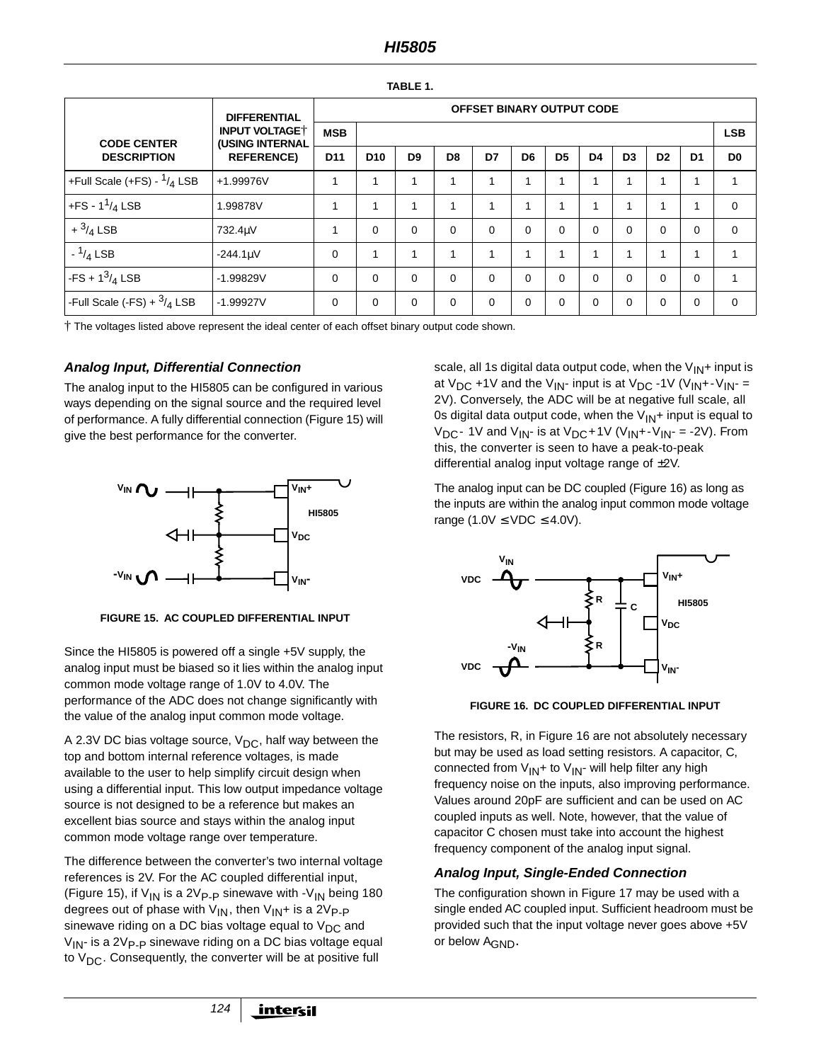#### **HI5805**

|--|--|--|--|--|--|

|                                                               | <b>DIFFERENTIAL</b> | <b>OFFSET BINARY OUTPUT CODE</b> |                 |                |                |             |                         |                |                |                |                         |                |                |
|---------------------------------------------------------------|---------------------|----------------------------------|-----------------|----------------|----------------|-------------|-------------------------|----------------|----------------|----------------|-------------------------|----------------|----------------|
| <b>INPUT VOLTAGE</b><br>(USING INTERNAL<br><b>CODE CENTER</b> | <b>MSB</b>          |                                  |                 |                |                |             |                         |                |                |                |                         | <b>LSB</b>     |                |
| <b>DESCRIPTION</b>                                            | <b>REFERENCE)</b>   | D <sub>11</sub>                  | D <sub>10</sub> | D <sub>9</sub> | D <sub>8</sub> | D7          | D <sub>6</sub>          | D <sub>5</sub> | D <sub>4</sub> | D <sub>3</sub> | D <sub>2</sub>          | D <sub>1</sub> | D <sub>0</sub> |
| +Full Scale (+FS) - $1/4$ LSB                                 | +1.99976V           |                                  |                 |                | и              |             | $\overline{\mathbf{A}}$ |                |                |                | $\overline{\mathbf{A}}$ |                |                |
| +FS - $1^{1}/_{4}$ LSB                                        | 1.99878V            |                                  |                 |                | и              | 1           | $\overline{A}$          | 1              | 4              |                | $\overline{A}$          | 1              | $\Omega$       |
| $+ \frac{3}{4}$ LSB                                           | 732.4µV             |                                  | $\Omega$        | $\Omega$       | 0              | $\Omega$    | 0                       | $\Omega$       | $\Omega$       | $\Omega$       | $\Omega$                | $\Omega$       | $\Omega$       |
| $-1/4$ LSB                                                    | $-244.1 \mu V$      | 0                                |                 |                |                | 1           | $\overline{A}$          | $\overline{A}$ |                | $\overline{A}$ | $\overline{A}$          | 1              | 1              |
| $-FS + 1^3/4$ LSB                                             | $-1.99829V$         | $\Omega$                         | $\Omega$        | $\Omega$       | $\Omega$       | $\mathbf 0$ | 0                       | $\Omega$       | $\Omega$       | $\Omega$       | $\Omega$                | $\mathbf 0$    | 1              |
| -Full Scale (-FS) + $^{3}/_4$ LSB                             | $-1.99927V$         | 0                                | 0               | $\Omega$       | 0              | $\mathbf 0$ | 0                       | $\Omega$       | $\Omega$       | 0              | 0                       | $\mathbf 0$    | $\Omega$       |

† The voltages listed above represent the ideal center of each offset binary output code shown.

#### **Analog Input, Differential Connection**

The analog input to the HI5805 can be configured in various ways depending on the signal source and the required level of performance. A fully differential connection (Figure 15) will give the best performance for the converter.



**FIGURE 15. AC COUPLED DIFFERENTIAL INPUT**

Since the HI5805 is powered off a single +5V supply, the analog input must be biased so it lies within the analog input common mode voltage range of 1.0V to 4.0V. The performance of the ADC does not change significantly with the value of the analog input common mode voltage.

A 2.3V DC bias voltage source,  $V_{DC}$ , half way between the top and bottom internal reference voltages, is made available to the user to help simplify circuit design when using a differential input. This low output impedance voltage source is not designed to be a reference but makes an excellent bias source and stays within the analog input common mode voltage range over temperature.

The difference between the converter's two internal voltage references is 2V. For the AC coupled differential input, (Figure 15), if  $V_{1N}$  is a 2V<sub>P-P</sub> sinewave with -V<sub>IN</sub> being 180 degrees out of phase with  $V_{IN}$ , then  $V_{IN}$ + is a 2V<sub>P-P</sub> sinewave riding on a DC bias voltage equal to  $V_{DC}$  and  $V_{1N}$ - is a 2V<sub>P-P</sub> sinewave riding on a DC bias voltage equal to  $V_{DC}$ . Consequently, the converter will be at positive full

scale, all 1s digital data output code, when the  $V_{IN}$ + input is at  $V_{DC}$  +1V and the  $V_{IN}$ - input is at  $V_{DC}$  -1V ( $V_{IN}$ +- $V_{IN}$  = 2V). Conversely, the ADC will be at negative full scale, all 0s digital data output code, when the  $V_{1N}$ + input is equal to  $V_{\text{DC}}$ - 1V and  $V_{\text{IN}}$ - is at  $V_{\text{DC}}$ +1V ( $V_{\text{IN}}$ +- $V_{\text{IN}}$ - = -2V). From this, the converter is seen to have a peak-to-peak differential analog input voltage range of ±2V.

The analog input can be DC coupled (Figure 16) as long as the inputs are within the analog input common mode voltage range (1.0V  $\leq$  VDC  $\leq$  4.0V).



**FIGURE 16. DC COUPLED DIFFERENTIAL INPUT**

The resistors, R, in Figure 16 are not absolutely necessary but may be used as load setting resistors. A capacitor, C, connected from  $V_{IN}$ + to  $V_{IN}$ - will help filter any high frequency noise on the inputs, also improving performance. Values around 20pF are sufficient and can be used on AC coupled inputs as well. Note, however, that the value of capacitor C chosen must take into account the highest frequency component of the analog input signal.

#### **Analog Input, Single-Ended Connection**

The configuration shown in Figure 17 may be used with a single ended AC coupled input. Sufficient headroom must be provided such that the input voltage never goes above +5V or below AGND**.**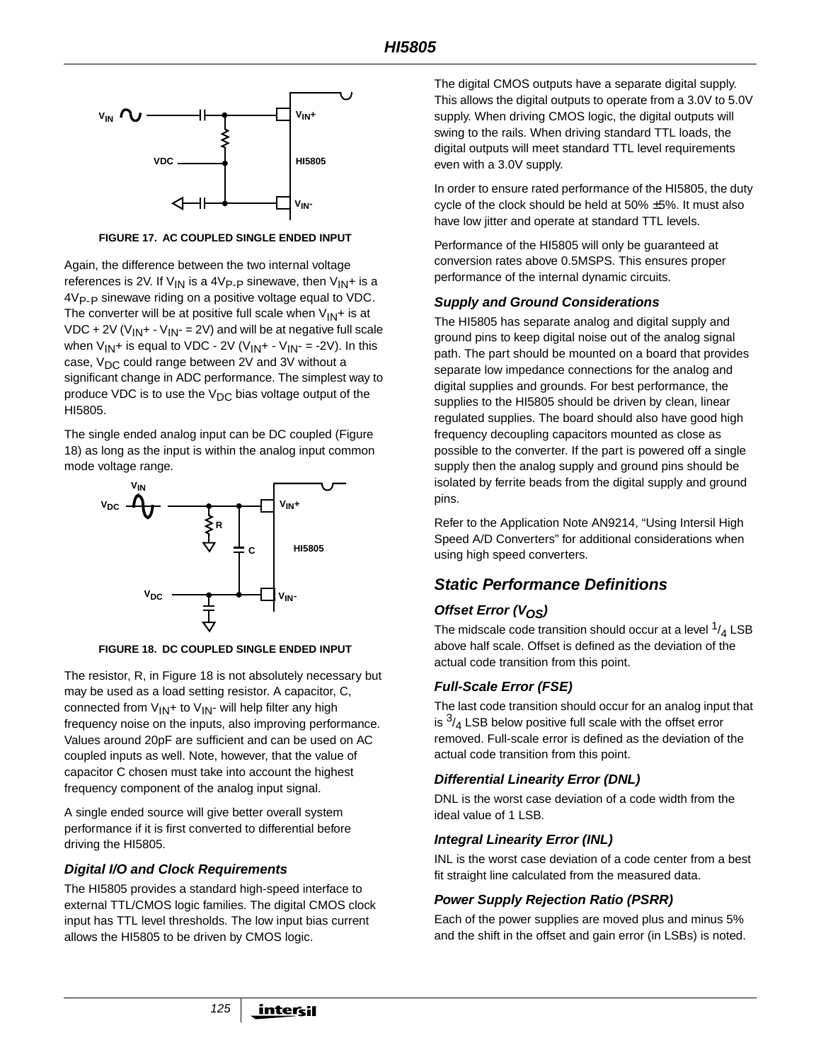

**FIGURE 17. AC COUPLED SINGLE ENDED INPUT**

Again, the difference between the two internal voltage references is 2V. If  $V_{IN}$  is a 4V<sub>P-P</sub> sinewave, then  $V_{IN}$ + is a 4V<sub>P-P</sub> sinewave riding on a positive voltage equal to VDC. The converter will be at positive full scale when  $V_{IN}$ + is at VDC + 2V ( $V_{IN}$ + -  $V_{IN}$  = 2V) and will be at negative full scale when  $V_{IN}$ + is equal to VDC - 2V ( $V_{IN}$ + -  $V_{IN}$  = -2V). In this case,  $V_{DC}$  could range between 2V and 3V without a significant change in ADC performance. The simplest way to produce VDC is to use the  $V_{DC}$  bias voltage output of the HI5805.

The single ended analog input can be DC coupled (Figure 18) as long as the input is within the analog input common mode voltage range.



**FIGURE 18. DC COUPLED SINGLE ENDED INPUT**

The resistor, R, in Figure 18 is not absolutely necessary but may be used as a load setting resistor. A capacitor, C, connected from  $V_{IN}$ + to  $V_{IN}$ - will help filter any high frequency noise on the inputs, also improving performance. Values around 20pF are sufficient and can be used on AC coupled inputs as well. Note, however, that the value of capacitor C chosen must take into account the highest frequency component of the analog input signal.

A single ended source will give better overall system performance if it is first converted to differential before driving the HI5805.

#### **Digital I/O and Clock Requirements**

The HI5805 provides a standard high-speed interface to external TTL/CMOS logic families. The digital CMOS clock input has TTL level thresholds. The low input bias current allows the HI5805 to be driven by CMOS logic.

The digital CMOS outputs have a separate digital supply. This allows the digital outputs to operate from a 3.0V to 5.0V supply. When driving CMOS logic, the digital outputs will swing to the rails. When driving standard TTL loads, the digital outputs will meet standard TTL level requirements even with a 3.0V supply.

In order to ensure rated performance of the HI5805, the duty cycle of the clock should be held at 50% ±5%. It must also have low jitter and operate at standard TTL levels.

Performance of the HI5805 will only be guaranteed at conversion rates above 0.5MSPS. This ensures proper performance of the internal dynamic circuits.

#### **Supply and Ground Considerations**

The HI5805 has separate analog and digital supply and ground pins to keep digital noise out of the analog signal path. The part should be mounted on a board that provides separate low impedance connections for the analog and digital supplies and grounds. For best performance, the supplies to the HI5805 should be driven by clean, linear regulated supplies. The board should also have good high frequency decoupling capacitors mounted as close as possible to the converter. If the part is powered off a single supply then the analog supply and ground pins should be isolated by ferrite beads from the digital supply and ground pins.

Refer to the Application Note AN9214, "Using Intersil High Speed A/D Converters" for additional considerations when using high speed converters.

# **Static Performance Definitions**

### **Offset Error (V<sub>OS</sub>)**

The midscale code transition should occur at a level  $\frac{1}{4}$  LSB above half scale. Offset is defined as the deviation of the actual code transition from this point.

### **Full-Scale Error (FSE)**

The last code transition should occur for an analog input that is  $\frac{3}{4}$  LSB below positive full scale with the offset error removed. Full-scale error is defined as the deviation of the actual code transition from this point.

#### **Differential Linearity Error (DNL)**

DNL is the worst case deviation of a code width from the ideal value of 1 LSB.

### **Integral Linearity Error (INL)**

INL is the worst case deviation of a code center from a best fit straight line calculated from the measured data.

### **Power Supply Rejection Ratio (PSRR)**

Each of the power supplies are moved plus and minus 5% and the shift in the offset and gain error (in LSBs) is noted.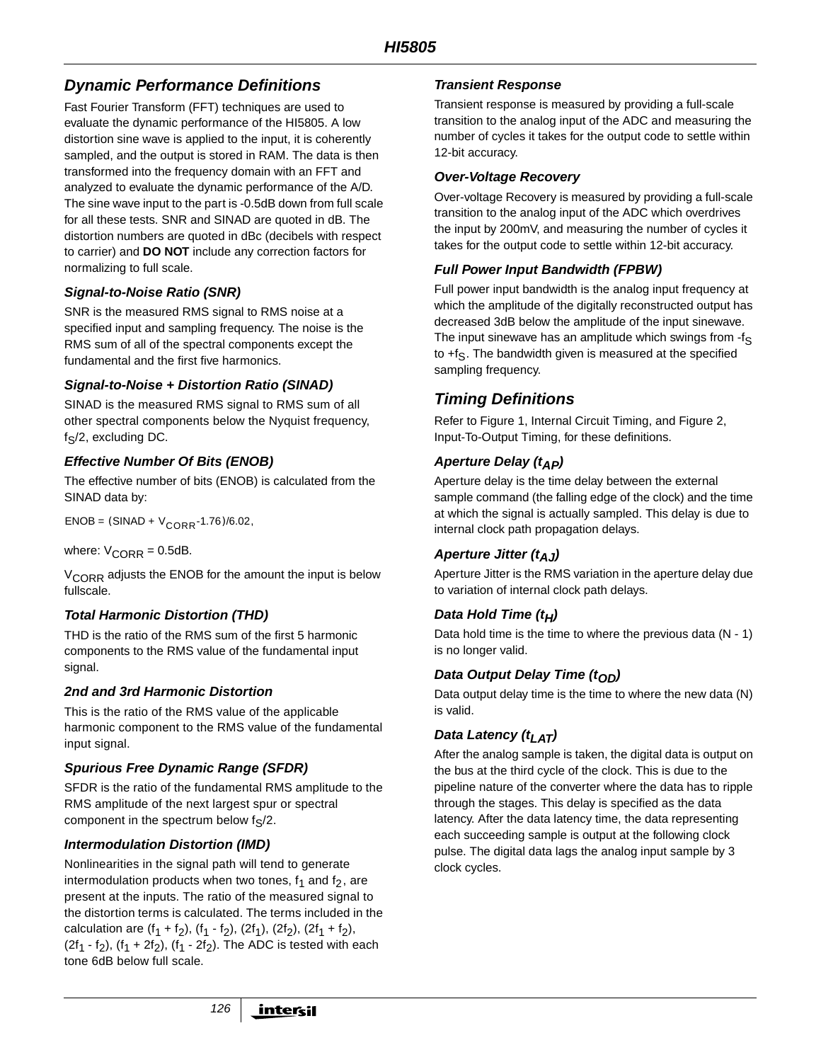# **Dynamic Performance Definitions**

Fast Fourier Transform (FFT) techniques are used to evaluate the dynamic performance of the HI5805. A low distortion sine wave is applied to the input, it is coherently sampled, and the output is stored in RAM. The data is then transformed into the frequency domain with an FFT and analyzed to evaluate the dynamic performance of the A/D. The sine wave input to the part is -0.5dB down from full scale for all these tests. SNR and SINAD are quoted in dB. The distortion numbers are quoted in dBc (decibels with respect to carrier) and **DO NOT** include any correction factors for normalizing to full scale.

#### **Signal-to-Noise Ratio (SNR)**

SNR is the measured RMS signal to RMS noise at a specified input and sampling frequency. The noise is the RMS sum of all of the spectral components except the fundamental and the first five harmonics.

#### **Signal-to-Noise + Distortion Ratio (SINAD)**

SINAD is the measured RMS signal to RMS sum of all other spectral components below the Nyquist frequency,  $f_S/2$ , excluding DC.

#### **Effective Number Of Bits (ENOB)**

The effective number of bits (ENOB) is calculated from the SINAD data by:

 $ENOB = (SINAD + V_{CORR} - 1.76) / 6.02$ 

where:  $V_{CORR} = 0.5dB$ .

V<sub>CORR</sub> adjusts the ENOB for the amount the input is below fullscale.

#### **Total Harmonic Distortion (THD)**

THD is the ratio of the RMS sum of the first 5 harmonic components to the RMS value of the fundamental input signal.

#### **2nd and 3rd Harmonic Distortion**

This is the ratio of the RMS value of the applicable harmonic component to the RMS value of the fundamental input signal.

#### **Spurious Free Dynamic Range (SFDR)**

SFDR is the ratio of the fundamental RMS amplitude to the RMS amplitude of the next largest spur or spectral component in the spectrum below  $f_S/2$ .

#### **Intermodulation Distortion (IMD)**

Nonlinearities in the signal path will tend to generate intermodulation products when two tones,  $f_1$  and  $f_2$ , are present at the inputs. The ratio of the measured signal to the distortion terms is calculated. The terms included in the calculation are  $(f_1 + f_2)$ ,  $(f_1 - f_2)$ ,  $(2f_1)$ ,  $(2f_2)$ ,  $(2f_1 + f_2)$ ,  $(2f_1 - f_2)$ ,  $(f_1 + 2f_2)$ ,  $(f_1 - 2f_2)$ . The ADC is tested with each tone 6dB below full scale.

#### **Transient Response**

Transient response is measured by providing a full-scale transition to the analog input of the ADC and measuring the number of cycles it takes for the output code to settle within 12-bit accuracy.

#### **Over-Voltage Recovery**

Over-voltage Recovery is measured by providing a full-scale transition to the analog input of the ADC which overdrives the input by 200mV, and measuring the number of cycles it takes for the output code to settle within 12-bit accuracy.

#### **Full Power Input Bandwidth (FPBW)**

Full power input bandwidth is the analog input frequency at which the amplitude of the digitally reconstructed output has decreased 3dB below the amplitude of the input sinewave. The input sinewave has an amplitude which swings from  $-f<sub>S</sub>$ to  $+f<sub>S</sub>$ . The bandwidth given is measured at the specified sampling frequency.

# **Timing Definitions**

Refer to Figure 1, Internal Circuit Timing, and Figure 2, Input-To-Output Timing, for these definitions.

#### **Aperture Delay (t<sub>AP</sub>)**

Aperture delay is the time delay between the external sample command (the falling edge of the clock) and the time at which the signal is actually sampled. This delay is due to internal clock path propagation delays.

#### **Aperture Jitter (t<sub>AJ</sub>)**

Aperture Jitter is the RMS variation in the aperture delay due to variation of internal clock path delays.

### **Data Hold Time (t<sub>H</sub>)**

Data hold time is the time to where the previous data (N - 1) is no longer valid.

#### **Data Output Delay Time (top)**

Data output delay time is the time to where the new data (N) is valid.

#### **Data Latency (t<sub>LAT</sub>)**

After the analog sample is taken, the digital data is output on the bus at the third cycle of the clock. This is due to the pipeline nature of the converter where the data has to ripple through the stages. This delay is specified as the data latency. After the data latency time, the data representing each succeeding sample is output at the following clock pulse. The digital data lags the analog input sample by 3 clock cycles.